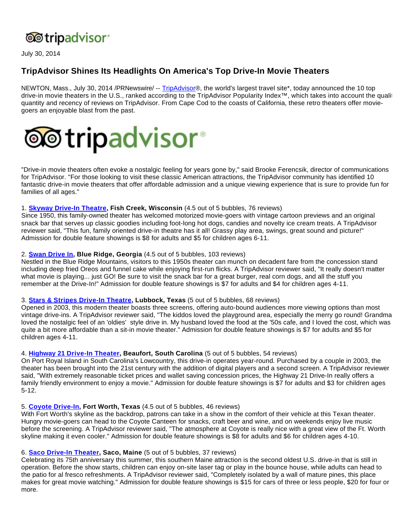

July 30, 2014

# **TripAdvisor Shines Its Headlights On America's Top Drive-In Movie Theaters**

NEWTON, Mass., July 30, 2014 /PRNewswire/ -- [TripAdvisor®](http://www.tripadvisor.com/), the world's largest travel site\*, today announced the 10 top drive-in movie theaters in the U.S., ranked according to the TripAdvisor Popularity Index™, which takes into account the qualit quantity and recency of reviews on TripAdvisor. From Cape Cod to the coasts of California, these retro theaters offer moviegoers an enjoyable blast from the past.



"Drive-in movie theaters often evoke a nostalgic feeling for years gone by," said Brooke Ferencsik, director of communications for TripAdvisor. "For those looking to visit these classic American attractions, the TripAdvisor community has identified 10 fantastic drive-in movie theaters that offer affordable admission and a unique viewing experience that is sure to provide fun for families of all ages."

#### 1. **[Skyway Drive-In Theatre,](http://www.tripadvisor.com/Attraction_Review-d2169041.html) Fish Creek, Wisconsin** (4.5 out of 5 bubbles, 76 reviews)

Since 1950, this family-owned theater has welcomed motorized movie-goers with vintage cartoon previews and an original snack bar that serves up classic goodies including foot-long hot dogs, candies and novelty ice cream treats. A TripAdvisor reviewer said, "This fun, family oriented drive-in theatre has it all! Grassy play area, swings, great sound and picture!" Admission for double feature showings is \$8 for adults and \$5 for children ages 6-11.

#### 2. **[Swan Drive In,](http://www.tripadvisor.com/Attraction_Review-d1755553.html) Blue Ridge, Georgia** (4.5 out of 5 bubbles, 103 reviews)

Nestled in the Blue Ridge Mountains, visitors to this 1950s theater can munch on decadent fare from the concession stand including deep fried Oreos and funnel cake while enjoying first-run flicks. A TripAdvisor reviewer said, "It really doesn't matter what movie is playing... just GO! Be sure to visit the snack bar for a great burger, real corn dogs, and all the stuff you remember at the Drive-In!" Admission for double feature showings is \$7 for adults and \$4 for children ages 4-11.

### 3. **[Stars & Stripes Drive-In Theatre](http://www.tripadvisor.com/Attraction_Review-d1876219.html), Lubbock, Texas** (5 out of 5 bubbles, 68 reviews)

Opened in 2003, this modern theater boasts three screens, offering auto-bound audiences more viewing options than most vintage drive-ins. A TripAdvisor reviewer said, "The kiddos loved the playground area, especially the merry go round! Grandma loved the nostalgic feel of an 'oldies' style drive in. My husband loved the food at the '50s cafe, and I loved the cost, which was quite a bit more affordable than a sit-in movie theater." Admission for double feature showings is \$7 for adults and \$5 for children ages 4-11.

### 4. **[Highway 21 Drive-In Theater](http://www.tripadvisor.com/Attraction_Review-d1853170.html), Beaufort, South Carolina** (5 out of 5 bubbles, 54 reviews)

On Port Royal Island in South Carolina's Lowcountry, this drive-in operates year-round. Purchased by a couple in 2003, the theater has been brought into the 21st century with the addition of digital players and a second screen. A TripAdvisor reviewer said, "With extremely reasonable ticket prices and wallet saving concession prices, the Highway 21 Drive-In really offers a family friendly environment to enjoy a movie." Admission for double feature showings is \$7 for adults and \$3 for children ages 5-12.

#### 5. **[Coyote Drive-In,](http://www.tripadvisor.com/Attraction_Review-d4178271.html) Fort Worth, Texas** (4.5 out of 5 bubbles, 46 reviews)

With Fort Worth's skyline as the backdrop, patrons can take in a show in the comfort of their vehicle at this Texan theater. Hungry movie-goers can head to the Coyote Canteen for snacks, craft beer and wine, and on weekends enjoy live music before the screening. A TripAdvisor reviewer said, "The atmosphere at Coyote is really nice with a great view of the Ft. Worth skyline making it even cooler." Admission for double feature showings is \$8 for adults and \$6 for children ages 4-10.

### 6. **[Saco Drive-In Theater,](http://www.tripadvisor.com/Attraction_Review-d1868441.html) Saco, Maine** (5 out of 5 bubbles, 37 reviews)

Celebrating its 75th anniversary this summer, this southern Maine attraction is the second oldest U.S. drive-in that is still in operation. Before the show starts, children can enjoy on-site laser tag or play in the bounce house, while adults can head to the patio for al fresco refreshments. A TripAdvisor reviewer said, "Completely isolated by a wall of mature pines, this place makes for great movie watching." Admission for double feature showings is \$15 for cars of three or less people, \$20 for four or more.